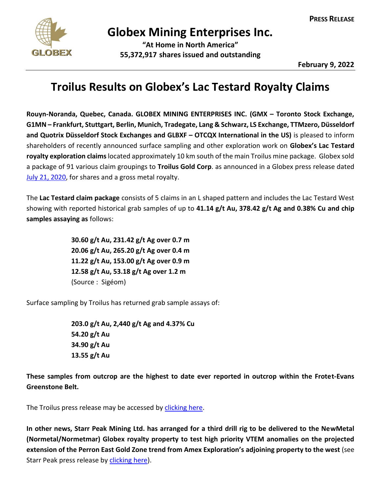

## **Globex Mining Enterprises Inc.**

**"At Home in North America" 55,372,917 shares issued and outstanding**

**February 9, 2022**

## **Troilus Results on Globex's Lac Testard Royalty Claims**

**Rouyn-Noranda, Quebec, Canada. GLOBEX MINING ENTERPRISES INC. (GMX – Toronto Stock Exchange, G1MN – Frankfurt, Stuttgart, Berlin, Munich, Tradegate, Lang & Schwarz, LS Exchange, TTMzero, Düsseldorf and Quotrix Düsseldorf Stock Exchanges and GLBXF – OTCQX International in the US)** is pleased to inform shareholders of recently announced surface sampling and other exploration work on **Globex's Lac Testard royalty exploration claims** located approximately 10 km south of the main Troilus mine package. Globex sold a package of 91 various claim groupings to **Troilus Gold Corp**. as announced in a Globex press release dated [July 21, 2020,](https://www.globexmining.com/staging/admin/news_pdfs/2020-07-21%20Globex%20Sells%2091%20Claims%20South%20of%20the%20Troilus%20Gold%20Mine.pdf) for shares and a gross metal royalty.

The **Lac Testard claim package** consists of 5 claims in an L shaped pattern and includes the Lac Testard West showing with reported historical grab samples of up to **41.14 g/t Au, 378.42 g/t Ag and 0.38% Cu and chip samples assaying as** follows:

> **30.60 g/t Au, 231.42 g/t Ag over 0.7 m 20.06 g/t Au, 265.20 g/t Ag over 0.4 m 11.22 g/t Au, 153.00 g/t Ag over 0.9 m 12.58 g/t Au, 53.18 g/t Ag over 1.2 m** (Source : Sigéom)

Surface sampling by Troilus has returned grab sample assays of:

**203.0 g/t Au, 2,440 g/t Ag and 4.37% Cu 54.20 g/t Au 34.90 g/t Au 13.55 g/t Au**

**These samples from outcrop are the highest to date ever reported in outcrop within the Frotet-Evans Greenstone Belt.**

The Troilus press release may be accessed b[y clicking here.](https://www.troilusgold.com/news-and-media/news-releases/troilus-provides-recap-of-regional-exploration-activities-completed-in-h2-2021-including-maiden-drilling-at-testard-target-where-previously-reported-grab-samples-returned-up-to-203-gt-gold-2440-gt-silver-and-437-copper)

**In other news, Starr Peak Mining Ltd. has arranged for a third drill rig to be delivered to the NewMetal (Normetal/Normetmar) Globex royalty property to test high priority VTEM anomalies on the projected extension of the Perron East Gold Zone trend from Amex Exploration's adjoining property to the west** (see Starr Peak press release by [clicking here\)](https://starrpeakminingltd.com/news/starr-peak-secures-a-third-drill-rig-for-its-winter-vtem-targets-drilling-program/).